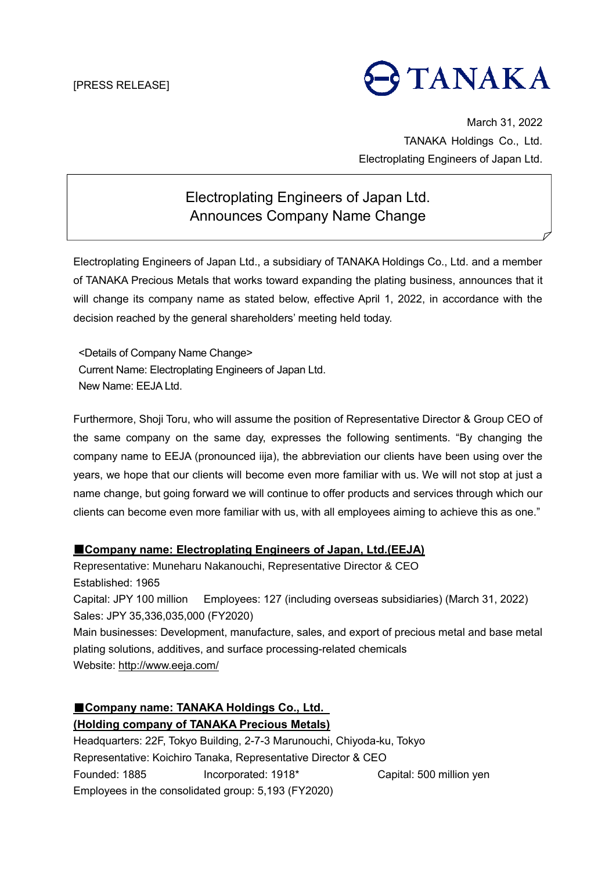# TANAKA

March 31, 2022 TANAKA Holdings Co., Ltd. Electroplating Engineers of Japan Ltd.

## Electroplating Engineers of Japan Ltd. Announces Company Name Change

Electroplating Engineers of Japan Ltd., a subsidiary of TANAKA Holdings Co., Ltd. and a member of TANAKA Precious Metals that works toward expanding the plating business, announces that it will change its company name as stated below, effective April 1, 2022, in accordance with the decision reached by the general shareholders' meeting held today.

<Details of Company Name Change> Current Name: Electroplating Engineers of Japan Ltd. New Name: EEJA Ltd.

Furthermore, Shoji Toru, who will assume the position of Representative Director & Group CEO of the same company on the same day, expresses the following sentiments. "By changing the company name to EEJA (pronounced iija), the abbreviation our clients have been using over the years, we hope that our clients will become even more familiar with us. We will not stop at just a name change, but going forward we will continue to offer products and services through which our clients can become even more familiar with us, with all employees aiming to achieve this as one."

#### ■**Company name: Electroplating Engineers of Japan, Ltd.(EEJA)**

Representative: Muneharu Nakanouchi, Representative Director & CEO Established: 1965 Capital: JPY 100 million Employees: 127 (including overseas subsidiaries) (March 31, 2022) Sales: JPY 35,336,035,000 (FY2020) Main businesses: Development, manufacture, sales, and export of precious metal and base metal plating solutions, additives, and surface processing-related chemicals Website:<http://www.eeja.com/>

## ■**Company name: TANAKA Holdings Co., Ltd.**

### **(Holding company of TANAKA Precious Metals)**

Headquarters: 22F, Tokyo Building, 2-7-3 Marunouchi, Chiyoda-ku, Tokyo Representative: Koichiro Tanaka, Representative Director & CEO Founded: 1885 Incorporated: 1918\* Capital: 500 million yen Employees in the consolidated group: 5,193 (FY2020)